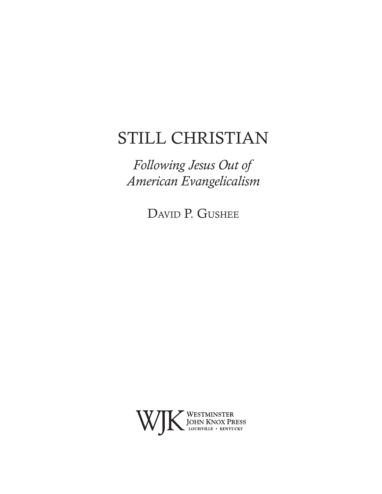# STILL CHRISTIAN

## *Following Jesus Out of American Evangelicalism*

DAVID P. GUSHEE

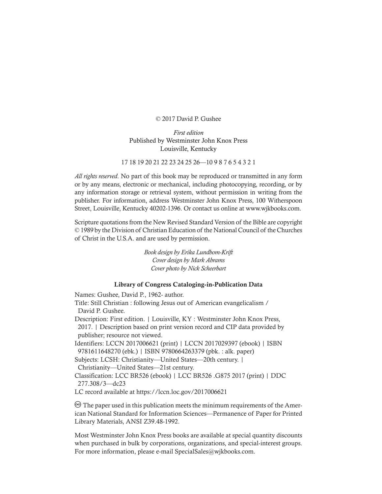#### © 2017 David P. Gushee

#### *First edition* Published by Westminster John Knox Press Louisville, Kentucky

17 18 19 20 21 22 23 24 25 26—10 9 8 7 6 5 4 3 2 1

*All rights reserved*. No part of this book may be reproduced or transmitted in any form or by any means, electronic or mechanical, including photocopying, recording, or by any information storage or retrieval system, without permission in writing from the publisher. For information, address Westminster John Knox Press, 100 Witherspoon Street, Louisville, Kentucky 40202-1396. Or contact us online at www.wjkbooks.com.

Scripture quotations from the New Revised Standard Version of the Bible are copyright © 1989 by the Division of Christian Education of the National Council of the Churches of Christ in the U.S.A. and are used by permission.

> *Book design by Erika Lundbom-Krift Cover design by Mark Abrams Cover photo by Nick Scheerbart*

#### Library of Congress Cataloging-in-Publication Data

Names: Gushee, David P., 1962- author.

Title: Still Christian : following Jesus out of American evangelicalism / David P. Gushee.

Description: First edition. | Louisville, KY : Westminster John Knox Press, 2017. | Description based on print version record and CIP data provided by publisher; resource not viewed.

Identifiers: LCCN 2017006621 (print) | LCCN 2017029397 (ebook) | ISBN 9781611648270 (ebk.) | ISBN 9780664263379 (pbk. : alk. paper)

Subjects: LCSH: Christianity—United States—20th century. |

Christianity—United States—21st century.

Classification: LCC BR526 (ebook) | LCC BR526 .G875 2017 (print) | DDC 277.308/3—dc23

LC record available at https://lccn.loc.gov/2017006621

 $\otimes$  The paper used in this publication meets the minimum requirements of the American National Standard for Information Sciences—Permanence of Paper for Printed Library Materials, ANSI Z39.48-1992.

Most Westminster John Knox Press books are available at special quantity discounts when purchased in bulk by corporations, organizations, and special-interest groups. For more information, please e-mail SpecialSales@wjkbooks.com.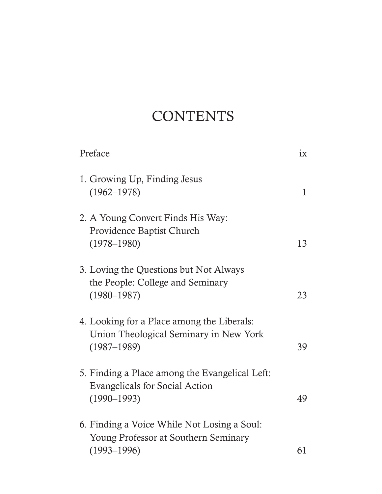## **CONTENTS**

| Preface                                                                                                       | 1X           |
|---------------------------------------------------------------------------------------------------------------|--------------|
| 1. Growing Up, Finding Jesus<br>$(1962 - 1978)$                                                               | $\mathbf{1}$ |
| 2. A Young Convert Finds His Way:<br>Providence Baptist Church<br>$(1978 - 1980)$                             | 13           |
| 3. Loving the Questions but Not Always<br>the People: College and Seminary<br>$(1980 - 1987)$                 | 23           |
| 4. Looking for a Place among the Liberals:<br>Union Theological Seminary in New York<br>$(1987 - 1989)$       | 39           |
| 5. Finding a Place among the Evangelical Left:<br><b>Evangelicals for Social Action</b><br>$(1990 - 1993)$    | 49           |
| 6. Finding a Voice While Not Losing a Soul:<br><b>Young Professor at Southern Seminary</b><br>$(1993 - 1996)$ | 61           |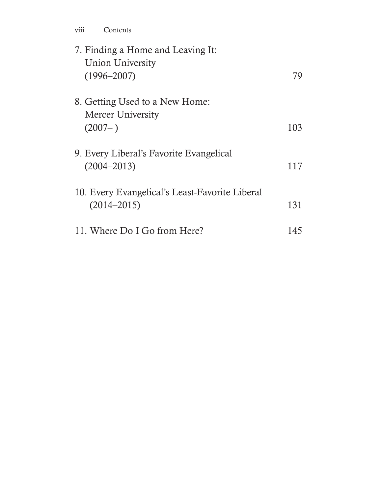| 7. Finding a Home and Leaving It:<br><b>Union University</b> |     |
|--------------------------------------------------------------|-----|
| $(1996 - 2007)$                                              | 79  |
| 8. Getting Used to a New Home:                               |     |
| Mercer University                                            |     |
| $(2007-)$                                                    | 103 |
| 9. Every Liberal's Favorite Evangelical                      |     |
| $(2004 - 2013)$                                              | 117 |
| 10. Every Evangelical's Least-Favorite Liberal               |     |
| $(2014 - 2015)$                                              | 131 |
| 11. Where Do I Go from Here?                                 | 145 |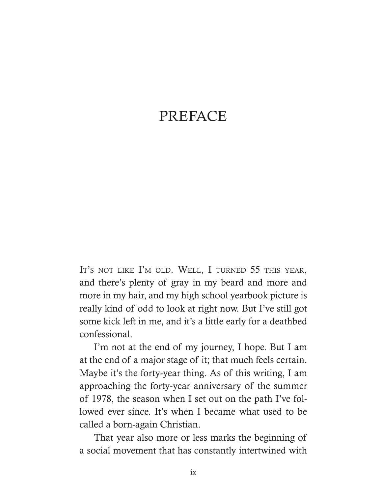## PREFACE

IT'S NOT LIKE I'M OLD. WELL, I TURNED 55 THIS YEAR, and there's plenty of gray in my beard and more and more in my hair, and my high school yearbook picture is really kind of odd to look at right now. But I've still got some kick left in me, and it's a little early for a deathbed confessional.

I'm not at the end of my journey, I hope. But I am at the end of a major stage of it; that much feels certain. Maybe it's the forty-year thing. As of this writing, I am approaching the forty-year anniversary of the summer of 1978, the season when I set out on the path I've followed ever since. It's when I became what used to be called a born-again Christian.

That year also more or less marks the beginning of a social movement that has constantly intertwined with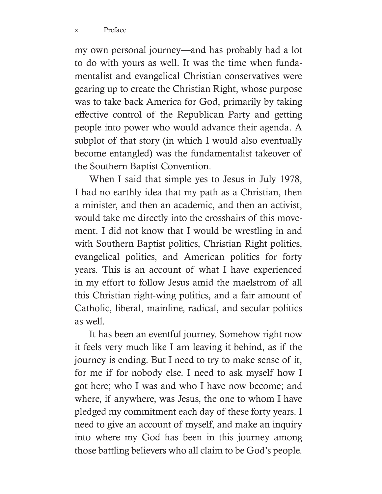my own personal journey—and has probably had a lot to do with yours as well. It was the time when fundamentalist and evangelical Christian conservatives were gearing up to create the Christian Right, whose purpose was to take back America for God, primarily by taking effective control of the Republican Party and getting people into power who would advance their agenda. A subplot of that story (in which I would also eventually become entangled) was the fundamentalist takeover of the Southern Baptist Convention.

When I said that simple yes to Jesus in July 1978, I had no earthly idea that my path as a Christian, then a minister, and then an academic, and then an activist, would take me directly into the crosshairs of this movement. I did not know that I would be wrestling in and with Southern Baptist politics, Christian Right politics, evangelical politics, and American politics for forty years. This is an account of what I have experienced in my effort to follow Jesus amid the maelstrom of all this Christian right-wing politics, and a fair amount of Catholic, liberal, mainline, radical, and secular politics as well.

It has been an eventful journey. Somehow right now it feels very much like I am leaving it behind, as if the journey is ending. But I need to try to make sense of it, for me if for nobody else. I need to ask myself how I got here; who I was and who I have now become; and where, if anywhere, was Jesus, the one to whom I have pledged my commitment each day of these forty years. I need to give an account of myself, and make an inquiry into where my God has been in this journey among those battling believers who all claim to be God's people.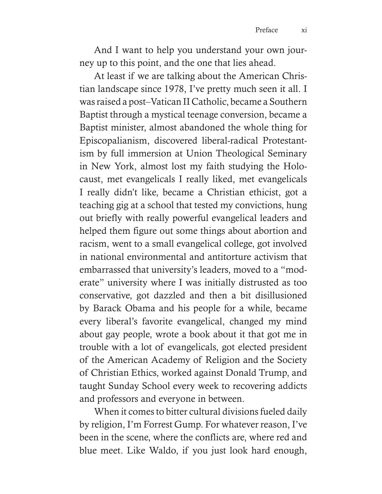And I want to help you understand your own journey up to this point, and the one that lies ahead.

At least if we are talking about the American Christian landscape since 1978, I've pretty much seen it all. I was raised a post–Vatican II Catholic, became a Southern Baptist through a mystical teenage conversion, became a Baptist minister, almost abandoned the whole thing for Episcopalianism, discovered liberal-radical Protestantism by full immersion at Union Theological Seminary in New York, almost lost my faith studying the Holocaust, met evangelicals I really liked, met evangelicals I really didn't like, became a Christian ethicist, got a teaching gig at a school that tested my convictions, hung out briefly with really powerful evangelical leaders and helped them figure out some things about abortion and racism, went to a small evangelical college, got involved in national environmental and antitorture activism that embarrassed that university's leaders, moved to a "moderate" university where I was initially distrusted as too conservative, got dazzled and then a bit disillusioned by Barack Obama and his people for a while, became every liberal's favorite evangelical, changed my mind about gay people, wrote a book about it that got me in trouble with a lot of evangelicals, got elected president of the American Academy of Religion and the Society of Christian Ethics, worked against Donald Trump, and taught Sunday School every week to recovering addicts and professors and everyone in between.

When it comes to bitter cultural divisions fueled daily by religion, I'm Forrest Gump. For whatever reason, I've been in the scene, where the conflicts are, where red and blue meet. Like Waldo, if you just look hard enough,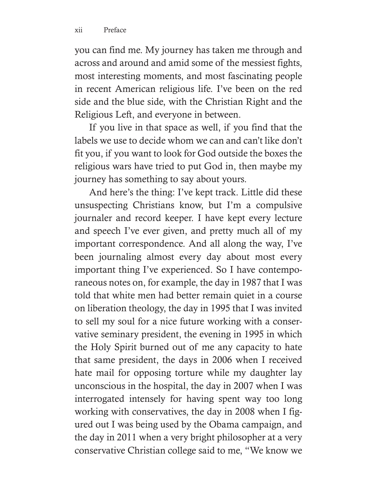you can find me. My journey has taken me through and across and around and amid some of the messiest fights, most interesting moments, and most fascinating people in recent American religious life. I've been on the red side and the blue side, with the Christian Right and the Religious Left, and everyone in between.

If you live in that space as well, if you find that the labels we use to decide whom we can and can't like don't fit you, if you want to look for God outside the boxes the religious wars have tried to put God in, then maybe my journey has something to say about yours.

And here's the thing: I've kept track. Little did these unsuspecting Christians know, but I'm a compulsive journaler and record keeper. I have kept every lecture and speech I've ever given, and pretty much all of my important correspondence. And all along the way, I've been journaling almost every day about most every important thing I've experienced. So I have contemporaneous notes on, for example, the day in 1987 that I was told that white men had better remain quiet in a course on liberation theology, the day in 1995 that I was invited to sell my soul for a nice future working with a conservative seminary president, the evening in 1995 in which the Holy Spirit burned out of me any capacity to hate that same president, the days in 2006 when I received hate mail for opposing torture while my daughter lay unconscious in the hospital, the day in 2007 when I was interrogated intensely for having spent way too long working with conservatives, the day in 2008 when I figured out I was being used by the Obama campaign, and the day in 2011 when a very bright philosopher at a very conservative Christian college said to me, "We know we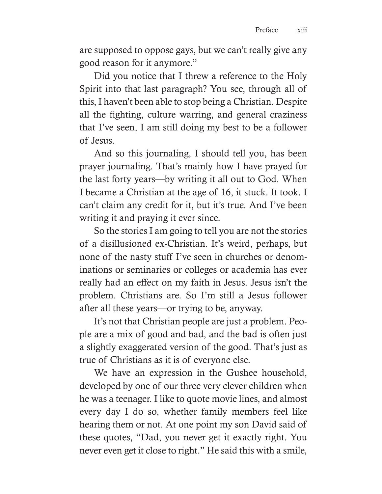are supposed to oppose gays, but we can't really give any good reason for it anymore."

Did you notice that I threw a reference to the Holy Spirit into that last paragraph? You see, through all of this, I haven't been able to stop being a Christian. Despite all the fighting, culture warring, and general craziness that I've seen, I am still doing my best to be a follower of Jesus.

And so this journaling, I should tell you, has been prayer journaling. That's mainly how I have prayed for the last forty years—by writing it all out to God. When I became a Christian at the age of 16, it stuck. It took. I can't claim any credit for it, but it's true. And I've been writing it and praying it ever since.

So the stories I am going to tell you are not the stories of a disillusioned ex-Christian. It's weird, perhaps, but none of the nasty stuff I've seen in churches or denominations or seminaries or colleges or academia has ever really had an effect on my faith in Jesus. Jesus isn't the problem. Christians are. So I'm still a Jesus follower after all these years—or trying to be, anyway.

It's not that Christian people are just a problem. People are a mix of good and bad, and the bad is often just a slightly exaggerated version of the good. That's just as true of Christians as it is of everyone else.

We have an expression in the Gushee household, developed by one of our three very clever children when he was a teenager. I like to quote movie lines, and almost every day I do so, whether family members feel like hearing them or not. At one point my son David said of these quotes, "Dad, you never get it exactly right. You never even get it close to right." He said this with a smile,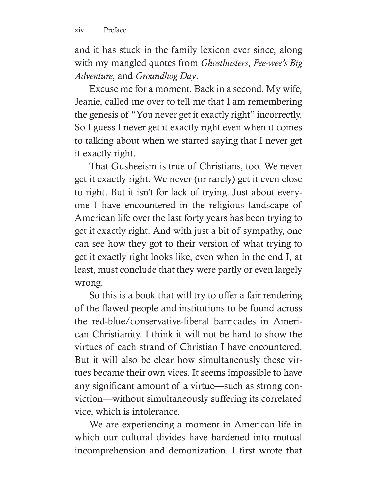and it has stuck in the family lexicon ever since, along with my mangled quotes from *Ghostbusters*, *Pee-wee's Big Adventure*, and *Groundhog Day*.

Excuse me for a moment. Back in a second. My wife, Jeanie, called me over to tell me that I am remembering the genesis of "You never get it exactly right" incorrectly. So I guess I never get it exactly right even when it comes to talking about when we started saying that I never get it exactly right.

That Gusheeism is true of Christians, too. We never get it exactly right. We never (or rarely) get it even close to right. But it isn't for lack of trying. Just about everyone I have encountered in the religious landscape of American life over the last forty years has been trying to get it exactly right. And with just a bit of sympathy, one can see how they got to their version of what trying to get it exactly right looks like, even when in the end I, at least, must conclude that they were partly or even largely wrong.

So this is a book that will try to offer a fair rendering of the flawed people and institutions to be found across the red-blue/conservative-liberal barricades in American Christianity. I think it will not be hard to show the virtues of each strand of Christian I have encountered. But it will also be clear how simultaneously these virtues became their own vices. It seems impossible to have any significant amount of a virtue—such as strong conviction—without simultaneously suffering its correlated vice, which is intolerance.

We are experiencing a moment in American life in which our cultural divides have hardened into mutual incomprehension and demonization. I first wrote that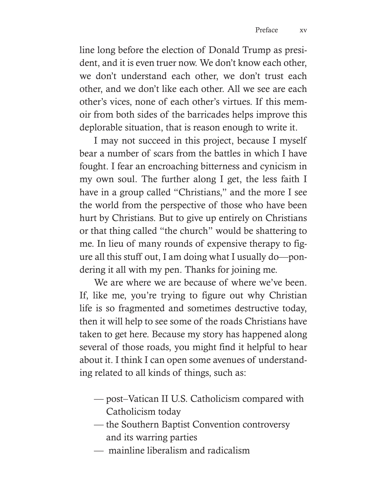line long before the election of Donald Trump as president, and it is even truer now. We don't know each other, we don't understand each other, we don't trust each other, and we don't like each other. All we see are each other's vices, none of each other's virtues. If this memoir from both sides of the barricades helps improve this deplorable situation, that is reason enough to write it.

I may not succeed in this project, because I myself bear a number of scars from the battles in which I have fought. I fear an encroaching bitterness and cynicism in my own soul. The further along I get, the less faith I have in a group called "Christians," and the more I see the world from the perspective of those who have been hurt by Christians. But to give up entirely on Christians or that thing called "the church" would be shattering to me. In lieu of many rounds of expensive therapy to figure all this stuff out, I am doing what I usually do—pondering it all with my pen. Thanks for joining me.

We are where we are because of where we've been. If, like me, you're trying to figure out why Christian life is so fragmented and sometimes destructive today, then it will help to see some of the roads Christians have taken to get here. Because my story has happened along several of those roads, you might find it helpful to hear about it. I think I can open some avenues of understanding related to all kinds of things, such as:

- post–Vatican II U.S. Catholicism compared with Catholicism today
- the Southern Baptist Convention controversy and its warring parties
- mainline liberalism and radicalism